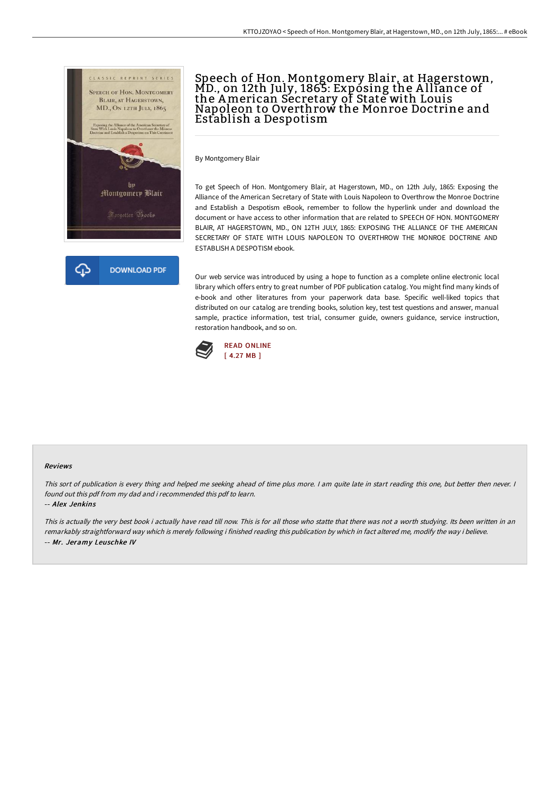

# Speech of Hon. Montgomery Blair, at Hagerstown,<br>MD., on 12th July, 1865: Exposing the Alliance of the American Secretary of State with Louis Napoleon to Overthrow the Monroe Doctrine and Establish a Despotism

By Montgomery Blair

To get Speech of Hon. Montgomery Blair, at Hagerstown, MD., on 12th July, 1865: Exposing the Alliance of the American Secretary of State with Louis Napoleon to Overthrow the Monroe Doctrine and Establish a Despotism eBook, remember to follow the hyperlink under and download the document or have access to other information that are related to SPEECH OF HON. MONTGOMERY BLAIR, AT HAGERSTOWN, MD., ON 12TH JULY, 1865: EXPOSING THE ALLIANCE OF THE AMERICAN SECRETARY OF STATE WITH LOUIS NAPOLEON TO OVERTHROW THE MONROE DOCTRINE AND ESTABLISH A DESPOTISM ebook.

Our web service was introduced by using a hope to function as a complete online electronic local library which offers entry to great number of PDF publication catalog. You might find many kinds of e-book and other literatures from your paperwork data base. Specific well-liked topics that distributed on our catalog are trending books, solution key, test test questions and answer, manual sample, practice information, test trial, consumer guide, owners guidance, service instruction, restoration handbook, and so on.



#### Reviews

This sort of publication is every thing and helped me seeking ahead of time plus more. <sup>I</sup> am quite late in start reading this one, but better then never. <sup>I</sup> found out this pdf from my dad and i recommended this pdf to learn.

-- Alex Jenkins

This is actually the very best book i actually have read till now. This is for all those who statte that there was not <sup>a</sup> worth studying. Its been written in an remarkably straightforward way which is merely following i finished reading this publication by which in fact altered me, modify the way i believe. -- Mr. Jeramy Leuschke IV